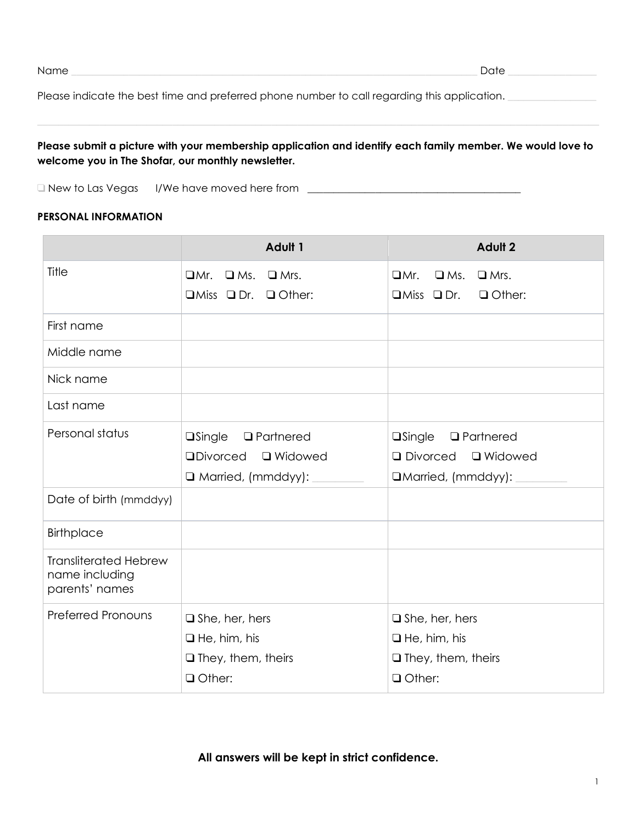| ۰. |
|----|
|----|

Name \_\_\_\_\_\_\_\_\_\_\_\_\_\_\_\_\_\_\_\_\_\_\_\_\_\_\_\_\_\_\_\_\_\_\_\_\_\_\_\_\_\_\_\_\_\_\_\_\_\_\_\_\_\_\_\_\_\_\_\_\_\_\_\_\_\_\_\_\_\_\_\_\_\_\_\_\_\_ Date \_\_\_\_\_\_\_\_\_\_\_\_\_\_\_\_\_

Please indicate the best time and preferred phone number to call regarding this application. \_\_\_\_\_\_\_\_\_\_\_\_\_\_\_\_\_

# Please submit a picture with your membership application and identify each family member. We would love to **welcome you in The Shofar, our monthly newsletter.**

□ New to Las Vegas I/We have moved here from \_\_\_\_\_\_\_\_\_\_\_\_\_\_\_\_\_\_\_\_\_\_\_\_\_\_\_\_\_\_\_\_\_\_\_

#### **PERSONAL INFORMATION**

|                                                                  | Adult 1                                    | Adult 2                                 |  |
|------------------------------------------------------------------|--------------------------------------------|-----------------------------------------|--|
| Title                                                            | $\Box$ Mr.<br>$\square$ Ms.<br>$\Box$ Mrs. | $\Box$ Mr.<br>$\Box$ Mrs.<br>$\Box$ Ms. |  |
|                                                                  | $\Box$ Miss $\Box$ Dr. $\Box$ Other:       | $\Box$ Miss $\Box$ Dr.<br>$\Box$ Other: |  |
| First name                                                       |                                            |                                         |  |
| Middle name                                                      |                                            |                                         |  |
| Nick name                                                        |                                            |                                         |  |
| Last name                                                        |                                            |                                         |  |
| Personal status                                                  | <b>a</b> Single<br><b>Q</b> Partnered      | $\square$ Single<br><b>Q</b> Partnered  |  |
|                                                                  | <b>QDivorced</b><br><b>Q</b> Widowed       | □ Divorced □ Widowed                    |  |
|                                                                  | $\Box$ Married, (mmddyy):                  | □Married, (mmddyy):                     |  |
| Date of birth (mmddyy)                                           |                                            |                                         |  |
| <b>Birthplace</b>                                                |                                            |                                         |  |
| <b>Transliterated Hebrew</b><br>name including<br>parents' names |                                            |                                         |  |
| <b>Preferred Pronouns</b>                                        | $\square$ She, her, hers                   | $\square$ She, her, hers                |  |
|                                                                  | $\Box$ He, him, his                        | $\Box$ He, him, his                     |  |
|                                                                  | $\Box$ They, them, theirs                  | $\Box$ They, them, theirs               |  |
|                                                                  | O Other:                                   | <b>Q</b> Other:                         |  |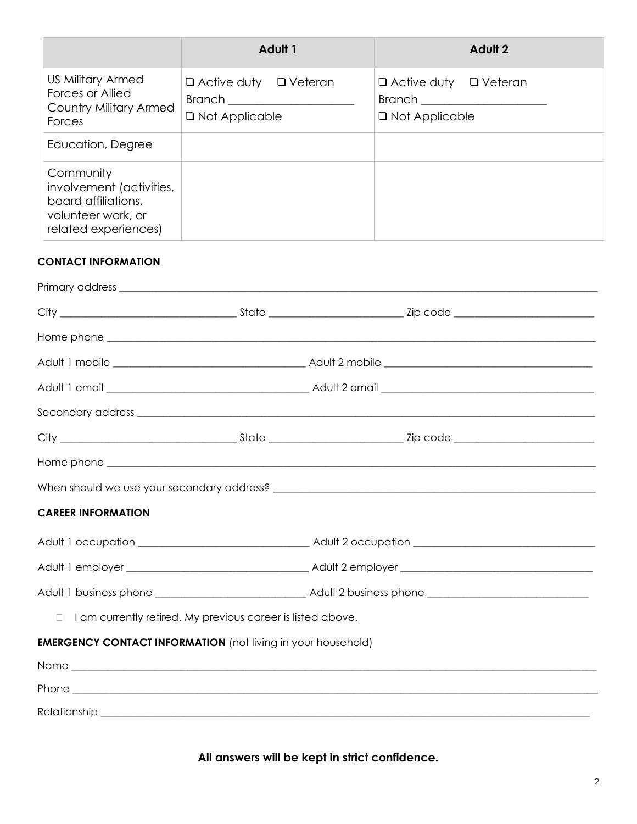|                                                                                                            | <b>Adult 1</b>                                        | <b>Adult 2</b>                                                                                                                                                          |  |
|------------------------------------------------------------------------------------------------------------|-------------------------------------------------------|-------------------------------------------------------------------------------------------------------------------------------------------------------------------------|--|
| <b>US Military Armed</b><br>Forces or Allied<br><b>Country Military Armed</b><br>Forces                    | $\Box$ Active duty $\Box$ Veteran<br>□ Not Applicable | $\Box$ Active duty $\Box$ Veteran<br>Branch and the contract of the contract of the contract of the contract of the contract of the contract of the<br>□ Not Applicable |  |
| Education, Degree                                                                                          |                                                       |                                                                                                                                                                         |  |
| Community<br>involvement (activities,<br>board affiliations,<br>volunteer work, or<br>related experiences) |                                                       |                                                                                                                                                                         |  |

## **CONTACT INFORMATION**

| Primary address experience and a strategies of the strategies of the strategies of the strategies of the strategies of the strategies of the strategies of the strategies of the strategies of the strategies of the strategie |                                                             |  |  |  |
|--------------------------------------------------------------------------------------------------------------------------------------------------------------------------------------------------------------------------------|-------------------------------------------------------------|--|--|--|
|                                                                                                                                                                                                                                |                                                             |  |  |  |
|                                                                                                                                                                                                                                |                                                             |  |  |  |
|                                                                                                                                                                                                                                |                                                             |  |  |  |
|                                                                                                                                                                                                                                |                                                             |  |  |  |
|                                                                                                                                                                                                                                |                                                             |  |  |  |
|                                                                                                                                                                                                                                |                                                             |  |  |  |
|                                                                                                                                                                                                                                |                                                             |  |  |  |
|                                                                                                                                                                                                                                |                                                             |  |  |  |
| <b>CAREER INFORMATION</b>                                                                                                                                                                                                      |                                                             |  |  |  |
|                                                                                                                                                                                                                                |                                                             |  |  |  |
|                                                                                                                                                                                                                                |                                                             |  |  |  |
|                                                                                                                                                                                                                                |                                                             |  |  |  |
| $\Box$                                                                                                                                                                                                                         | I am currently retired. My previous career is listed above. |  |  |  |
| <b>EMERGENCY CONTACT INFORMATION</b> (not living in your household)                                                                                                                                                            |                                                             |  |  |  |
|                                                                                                                                                                                                                                |                                                             |  |  |  |
|                                                                                                                                                                                                                                |                                                             |  |  |  |
|                                                                                                                                                                                                                                |                                                             |  |  |  |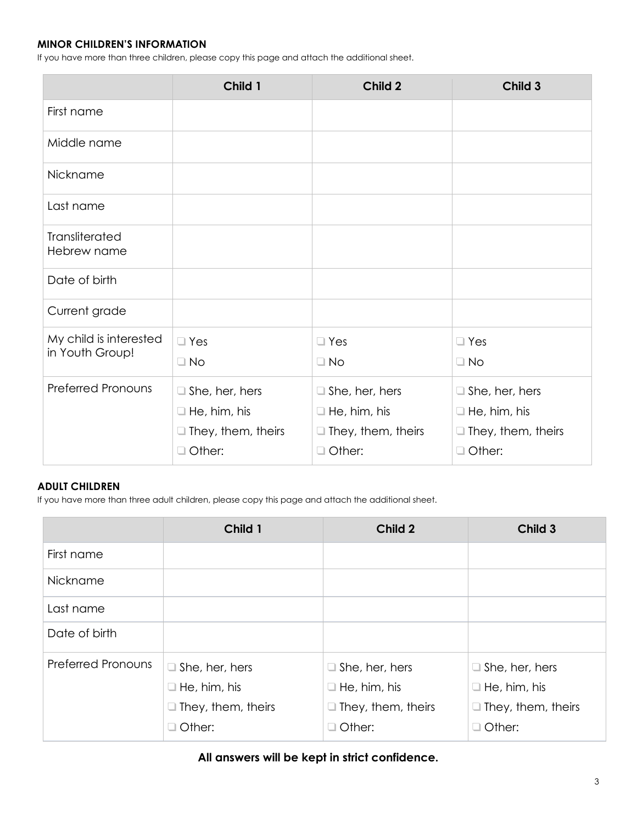### **MINOR CHILDREN'S INFORMATION**

If you have more than three children, please copy this page and attach the additional sheet.

|                                           | Child 1                                                                                    | Child 2                                                                                    | Child 3                                                                             |
|-------------------------------------------|--------------------------------------------------------------------------------------------|--------------------------------------------------------------------------------------------|-------------------------------------------------------------------------------------|
| First name                                |                                                                                            |                                                                                            |                                                                                     |
| Middle name                               |                                                                                            |                                                                                            |                                                                                     |
| Nickname                                  |                                                                                            |                                                                                            |                                                                                     |
| Last name                                 |                                                                                            |                                                                                            |                                                                                     |
| Transliterated<br>Hebrew name             |                                                                                            |                                                                                            |                                                                                     |
| Date of birth                             |                                                                                            |                                                                                            |                                                                                     |
| Current grade                             |                                                                                            |                                                                                            |                                                                                     |
| My child is interested<br>in Youth Group! | $\square$ Yes<br>$\Box$ No                                                                 | $\Box$ Yes<br>$\Box$ No                                                                    | $\square$ Yes<br>$\Box$ No                                                          |
| <b>Preferred Pronouns</b>                 | $\Box$ She, her, hers<br>$\Box$ He, him, his<br>$\Box$ They, them, theirs<br>$\Box$ Other: | $\Box$ She, her, hers<br>$\Box$ He, him, his<br>$\Box$ They, them, theirs<br>$\Box$ Other: | $\Box$ She, her, hers<br>$\Box$ He, him, his<br>$\Box$ They, them, theirs<br>Other: |

## **ADULT CHILDREN**

If you have more than three adult children, please copy this page and attach the additional sheet.

|                           | Child 1                   | Child 2                   | Child 3                   |
|---------------------------|---------------------------|---------------------------|---------------------------|
| First name                |                           |                           |                           |
| Nickname                  |                           |                           |                           |
| Last name                 |                           |                           |                           |
| Date of birth             |                           |                           |                           |
| <b>Preferred Pronouns</b> | $\Box$ She, her, hers     | $\Box$ She, her, hers     | $\Box$ She, her, hers     |
|                           | $\Box$ He, him, his       | $\Box$ He, him, his       | $\Box$ He, him, his       |
|                           | $\Box$ They, them, theirs | $\Box$ They, them, theirs | $\Box$ They, them, theirs |
|                           | $\Box$ Other:             | $\Box$ Other:             | $\Box$ Other:             |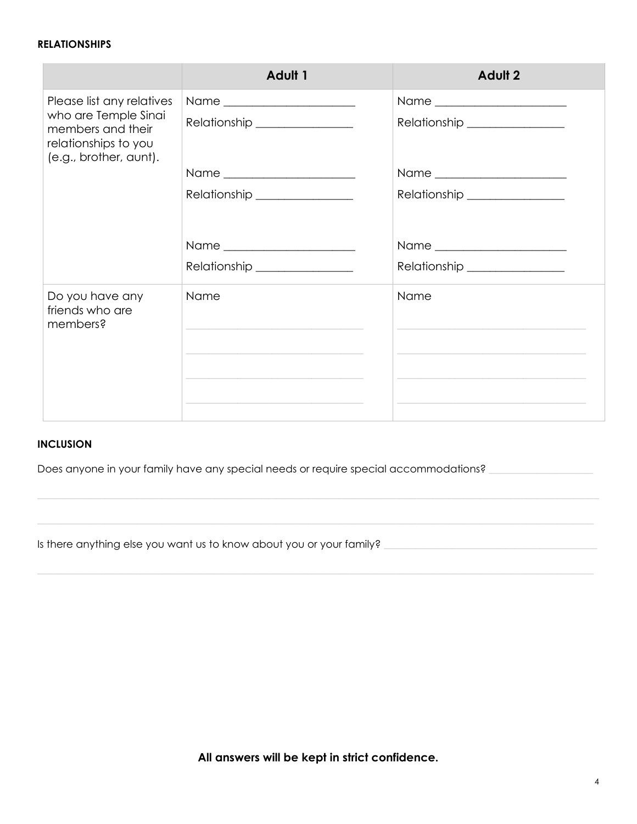#### **RELATIONSHIPS**

| <b>Adult 1</b>               | <b>Adult 2</b>                |
|------------------------------|-------------------------------|
|                              |                               |
| Relationship _______________ | Relationship ________________ |
|                              |                               |
| Relationship _______________ | Relationship _______________  |
|                              |                               |
|                              | Relationship ________________ |
| Name                         | Name                          |
|                              | Relationship _______________  |

### **INCLUSION**

Does anyone in your family have any special needs or require special accommodations? \_\_\_\_\_\_\_\_\_\_\_\_\_\_

Is there anything else you want us to know about you or your family? \_\_\_\_\_\_\_\_\_\_\_\_\_\_\_\_\_\_\_\_\_\_\_\_\_\_\_\_\_\_\_\_\_\_\_\_\_\_\_\_\_